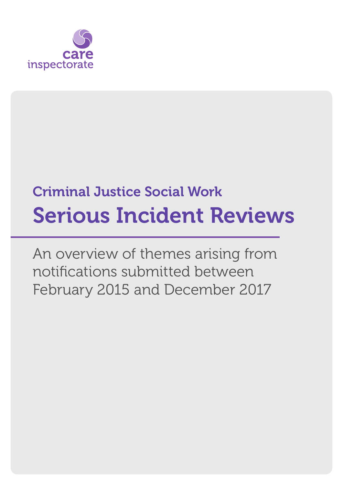

# Criminal Justice Social Work Serious Incident Reviews

An overview of themes arising from notifications submitted between February 2015 and December 2017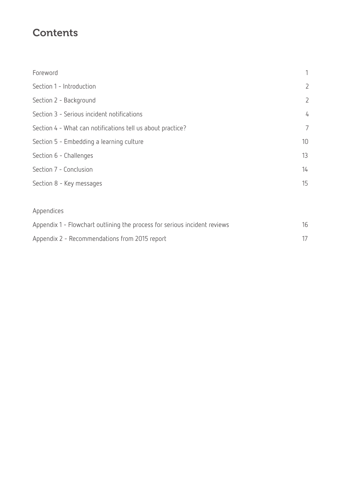### **Contents**

| Foreword                                                   | 1              |
|------------------------------------------------------------|----------------|
| Section 1 - Introduction                                   | $\overline{2}$ |
| Section 2 - Background                                     | $\overline{2}$ |
| Section 3 - Serious incident notifications                 | 4              |
| Section 4 - What can notifications tell us about practice? | $\overline{7}$ |
| Section 5 - Embedding a learning culture                   | 10             |
| Section 6 - Challenges                                     | 13             |
| Section 7 - Conclusion                                     | 14             |
| Section 8 - Key messages                                   | 15             |
|                                                            |                |
| Appendices                                                 |                |

| Appendix 1 - Flowchart outlining the process for serious incident reviews |  |
|---------------------------------------------------------------------------|--|
| Appendix 2 - Recommendations from 2015 report                             |  |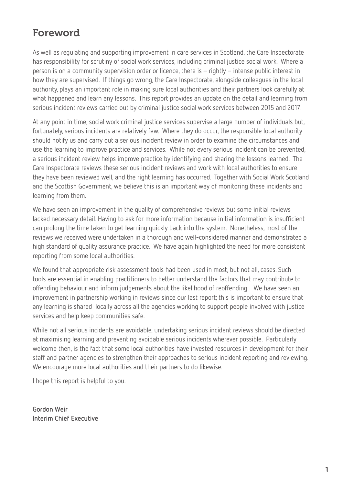### Foreword

As well as regulating and supporting improvement in care services in Scotland, the Care Inspectorate has responsibility for scrutiny of social work services, including criminal justice social work. Where a person is on a community supervision order or licence, there is – rightly – intense public interest in how they are supervised. If things go wrong, the Care Inspectorate, alongside colleagues in the local authority, plays an important role in making sure local authorities and their partners look carefully at what happened and learn any lessons. This report provides an update on the detail and learning from serious incident reviews carried out by criminal justice social work services between 2015 and 2017.

At any point in time, social work criminal justice services supervise a large number of individuals but, fortunately, serious incidents are relatively few. Where they do occur, the responsible local authority should notify us and carry out a serious incident review in order to examine the circumstances and use the learning to improve practice and services. While not every serious incident can be prevented, a serious incident review helps improve practice by identifying and sharing the lessons learned. The Care Inspectorate reviews these serious incident reviews and work with local authorities to ensure they have been reviewed well, and the right learning has occurred. Together with Social Work Scotland and the Scottish Government, we believe this is an important way of monitoring these incidents and learning from them.

We have seen an improvement in the quality of comprehensive reviews but some initial reviews lacked necessary detail. Having to ask for more information because initial information is insufficient can prolong the time taken to get learning quickly back into the system. Nonetheless, most of the reviews we received were undertaken in a thorough and well-considered manner and demonstrated a high standard of quality assurance practice. We have again highlighted the need for more consistent reporting from some local authorities.

We found that appropriate risk assessment tools had been used in most, but not all, cases. Such tools are essential in enabling practitioners to better understand the factors that may contribute to offending behaviour and inform judgements about the likelihood of reoffending. We have seen an improvement in partnership working in reviews since our last report; this is important to ensure that any learning is shared locally across all the agencies working to support people involved with justice services and help keep communities safe.

While not all serious incidents are avoidable, undertaking serious incident reviews should be directed at maximising learning and preventing avoidable serious incidents wherever possible. Particularly welcome then, is the fact that some local authorities have invested resources in development for their staff and partner agencies to strengthen their approaches to serious incident reporting and reviewing. We encourage more local authorities and their partners to do likewise.

I hope this report is helpful to you.

**Gordon Weir Interim Chief Executive**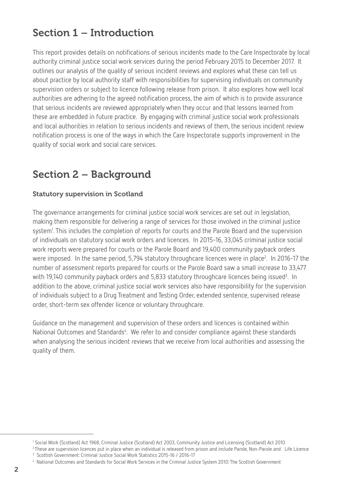### Section 1 – Introduction

This report provides details on notifications of serious incidents made to the Care Inspectorate by local authority criminal justice social work services during the period February 2015 to December 2017. It outlines our analysis of the quality of serious incident reviews and explores what these can tell us about practice by local authority staff with responsibilities for supervising individuals on community supervision orders or subject to licence following release from prison. It also explores how well local authorities are adhering to the agreed notification process, the aim of which is to provide assurance that serious incidents are reviewed appropriately when they occur and that lessons learned from these are embedded in future practice. By engaging with criminal justice social work professionals and local authorities in relation to serious incidents and reviews of them, the serious incident review notification process is one of the ways in which the Care Inspectorate supports improvement in the quality of social work and social care services.

### Section 2 – Background

#### Statutory supervision in Scotland

The governance arrangements for criminal justice social work services are set out in legislation, making them responsible for delivering a range of services for those involved in the criminal justice system<sup>1</sup>. This includes the completion of reports for courts and the Parole Board and the supervision of individuals on statutory social work orders and licences. In 2015-16, 33,045 criminal justice social work reports were prepared for courts or the Parole Board and 19,400 community payback orders were imposed. In the same period, 5,794 statutory throughcare licences were in place<sup>2</sup>. In 2016-17 the number of assessment reports prepared for courts or the Parole Board saw a small increase to 33,477 with 19,140 community payback orders and 5,833 statutory throughcare licences being issued<sup>3</sup>. In addition to the above, criminal justice social work services also have responsibility for the supervision of individuals subject to a Drug Treatment and Testing Order, extended sentence, supervised release order, short-term sex offender licence or voluntary throughcare.

Guidance on the management and supervision of these orders and licences is contained within National Outcomes and Standards<sup>4</sup>. We refer to and consider compliance against these standards when analysing the serious incident reviews that we receive from local authorities and assessing the quality of them.

4 National Outcomes and Standards for Social Work Services in the Criminal Justice System 2010: The Scottish Government

<sup>1</sup> Social Work (Scotland) Act 1968, Criminal Justice (Scotland) Act 2003, Community Justice and Licensing (Scotland) Act 2010

<sup>&</sup>lt;sup>2</sup> These are supervision licences put in place when an individual is released from prison and include Parole, Non-Parole and Life Licence 3 Scottish Government: Criminal Justice Social Work Statistics 2015-16 / 2016-17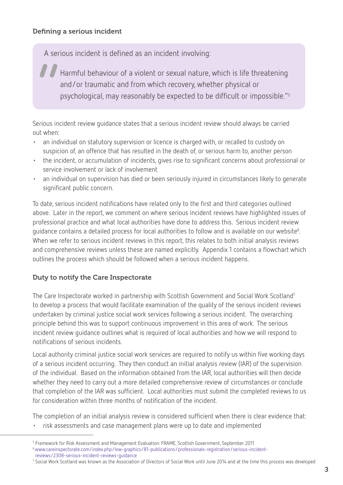A serious incident is defined as an incident involving:

" Harmful behaviour of a violent or sexual nature, which is life threatening and/or traumatic and from which recovery, whether physical or psychological, may reasonably be expected to be difficult or impossible."5

Serious incident review guidance states that a serious incident review should always be carried out when:

- an individual on statutory supervision or licence is charged with, or recalled to custody on suspicion of, an offence that has resulted in the death of, or serious harm to, another person
- the incident, or accumulation of incidents, gives rise to significant concerns about professional or service involvement or lack of involvement
- an individual on supervision has died or been seriously injured in circumstances likely to generate significant public concern.

To date, serious incident notifications have related only to the first and third categories outlined above. Later in the report, we comment on where serious incident reviews have highlighted issues of professional practice and what local authorities have done to address this. Serious incident review guidance contains a detailed process for local authorities to follow and is available on our website $^6$ . When we refer to serious incident reviews in this report, this relates to both initial analysis reviews and comprehensive reviews unless these are named explicitly. Appendix 1 contains a flowchart which outlines the process which should be followed when a serious incident happens.

#### Duty to notify the Care Inspectorate

The Care Inspectorate worked in partnership with Scottish Government and Social Work Scotland<sup>7</sup> to develop a process that would facilitate examination of the quality of the serious incident reviews undertaken by criminal justice social work services following a serious incident. The overarching principle behind this was to support continuous improvement in this area of work. The serious incident review guidance outlines what is required of local authorities and how we will respond to notifications of serious incidents.

Local authority criminal justice social work services are required to notify us within five working days of a serious incident occurring. They then conduct an initial analysis review (IAR) of the supervision of the individual. Based on the information obtained from the IAR, local authorities will then decide whether they need to carry out a more detailed comprehensive review of circumstances or conclude that completion of the IAR was sufficient. Local authorities must submit the completed reviews to us for consideration within three months of notification of the incident.

The completion of an initial analysis review is considered sufficient when there is clear evidence that: • risk assessments and case management plans were up to date and implemented

<sup>5</sup> Framework for Risk Assessment and Management Evaluation: FRAME, Scottish Government, September 2011 6 www.careinspectorate.com/index.php/low-graphics/81-publications/professionals-registration/serious-incident reviews/2308-serious-incident-reviews-guidance

<sup>7</sup> Social Work Scotland was known as the Association of Directors of Social Work until June 2014 and at the time this process was developed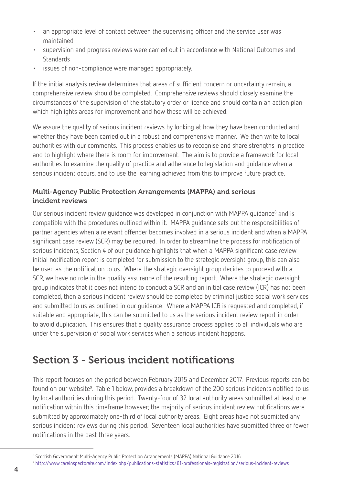- an appropriate level of contact between the supervising officer and the service user was maintained
- supervision and progress reviews were carried out in accordance with National Outcomes and **Standards**
- issues of non-compliance were managed appropriately.

If the initial analysis review determines that areas of sufficient concern or uncertainty remain, a comprehensive review should be completed. Comprehensive reviews should closely examine the circumstances of the supervision of the statutory order or licence and should contain an action plan which highlights areas for improvement and how these will be achieved.

We assure the quality of serious incident reviews by looking at how they have been conducted and whether they have been carried out in a robust and comprehensive manner. We then write to local authorities with our comments. This process enables us to recognise and share strengths in practice and to highlight where there is room for improvement. The aim is to provide a framework for local authorities to examine the quality of practice and adherence to legislation and guidance when a serious incident occurs, and to use the learning achieved from this to improve future practice.

#### Multi-Agency Public Protection Arrangements (MAPPA) and serious incident reviews

Our serious incident review guidance was developed in conjunction with MAPPA guidance<sup>8</sup> and is compatible with the procedures outlined within it. MAPPA guidance sets out the responsibilities of partner agencies when a relevant offender becomes involved in a serious incident and when a MAPPA significant case review (SCR) may be required. In order to streamline the process for notification of serious incidents, Section 4 of our guidance highlights that when a MAPPA significant case review initial notification report is completed for submission to the strategic oversight group, this can also be used as the notification to us. Where the strategic oversight group decides to proceed with a SCR, we have no role in the quality assurance of the resulting report. Where the strategic oversight group indicates that it does not intend to conduct a SCR and an initial case review (ICR) has not been completed, then a serious incident review should be completed by criminal justice social work services and submitted to us as outlined in our guidance. Where a MAPPA ICR is requested and completed, if suitable and appropriate, this can be submitted to us as the serious incident review report in order to avoid duplication. This ensures that a quality assurance process applies to all individuals who are under the supervision of social work services when a serious incident happens.

### Section 3 - Serious incident notifications

This report focuses on the period between February 2015 and December 2017. Previous reports can be found on our website<sup>9</sup>. Table 1 below, provides a breakdown of the 200 serious incidents notified to us by local authorities during this period. Twenty-four of 32 local authority areas submitted at least one notification within this timeframe however; the majority of serious incident review notifications were submitted by approximately one-third of local authority areas. Eight areas have not submitted any serious incident reviews during this period. Seventeen local authorities have submitted three or fewer notifications in the past three years.

<sup>8</sup> Scottish Government: Multi-Agency Public Protection Arrangements (MAPPA) National Guidance 2016

<sup>9</sup> http://www.careinspectorate.com/index.php/publications-statistics/81-professionals-registration/serious-incident-reviews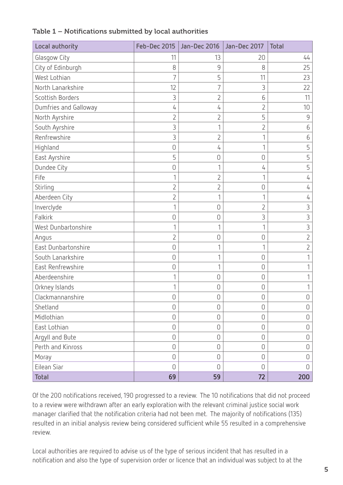| Local authority       |                | Feb-Dec 2015   Jan-Dec 2016 | Jan-Dec 2017   | <b>Total</b>   |
|-----------------------|----------------|-----------------------------|----------------|----------------|
| Glasgow City          | 11             | 13                          | 20             | 44             |
| City of Edinburgh     | 8              | 9                           | 8              | 25             |
| West Lothian          | 7              | 5                           | 11             | 23             |
| North Lanarkshire     | 12             |                             | 3              | 22             |
| Scottish Borders      | 3              | 2                           | 6              | 11             |
| Dumfries and Galloway | 4              | 4                           | $\overline{2}$ | 10             |
| North Ayrshire        | $\overline{2}$ | $\overline{2}$              | 5              | 9              |
| South Ayrshire        | 3              |                             | 2              | 6              |
| Renfrewshire          | 3              | $\overline{2}$              | 1              | 6              |
| Highland              | $\mathbf 0$    | 4                           | 1              | 5              |
| East Ayrshire         | 5              | 0                           | 0              | 5              |
| Dundee City           | $\mathbf 0$    |                             | 4              | 5              |
| Fife                  | 1              | 2                           | 1              | 4              |
| Stirling              | $\overline{2}$ | $\overline{2}$              | 0              | 4              |
| Aberdeen City         | $\overline{2}$ |                             | 1              | 4              |
| Inverclyde            | 1              | $\cup$                      | $\overline{2}$ | 3              |
| Falkirk               | $\mathbf 0$    | $\cup$                      | 3              | 3              |
| West Dunbartonshire   | 1              |                             | 1              | 3              |
| Angus                 | 2              | 0                           | 0              | $\overline{2}$ |
| East Dunbartonshire   | $\overline{0}$ |                             | 1              | $\overline{2}$ |
| South Lanarkshire     | $\cup$         |                             | $\cup$         |                |
| East Renfrewshire     | $\cup$         |                             | $\overline{0}$ |                |
| Aberdeenshire         | 1              | 0                           | $\overline{0}$ |                |
| Orkney Islands        | 1              | 0                           | $\cup$         |                |
| Clackmannanshire      | $\overline{0}$ | 0                           | $\overline{0}$ | 0              |
| Shetland              | $\mathbf 0$    | $\mathbf 0$                 | $\mathbf 0$    | 0              |
| Midlothian            | $\mathbf 0$    | $\mathbf 0$                 | $\mathbf 0$    | 0              |
| East Lothian          | $\mathbf 0$    | $\mathbf 0$                 | $\mathbf 0$    | 0              |
| Argyll and Bute       | $\mathbf 0$    | 0                           | $\overline{0}$ | 0              |
| Perth and Kinross     | $\mathbf 0$    | 0                           | $\cup$         | 0              |
| Moray                 | $\overline{0}$ | $\overline{0}$              | $\overline{0}$ | 0              |
| Eilean Siar           | $\Omega$       | 0                           | $\overline{0}$ | 0              |
| Total                 | 69             | 59                          | 72             | 200            |

#### Table 1 – Notifications submitted by local authorities

Of the 200 notifications received, 190 progressed to a review. The 10 notifications that did not proceed to a review were withdrawn after an early exploration with the relevant criminal justice social work manager clarified that the notification criteria had not been met. The majority of notifications (135) resulted in an initial analysis review being considered sufficient while 55 resulted in a comprehensive review.

Local authorities are required to advise us of the type of serious incident that has resulted in a notification and also the type of supervision order or licence that an individual was subject to at the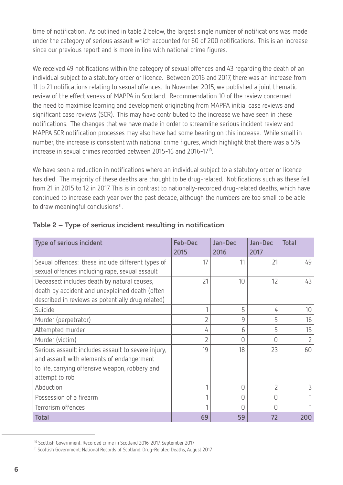time of notification. As outlined in table 2 below, the largest single number of notifications was made under the category of serious assault which accounted for 60 of 200 notifications. This is an increase since our previous report and is more in line with national crime figures.

We received 49 notifications within the category of sexual offences and 43 regarding the death of an individual subject to a statutory order or licence. Between 2016 and 2017, there was an increase from 11 to 21 notifications relating to sexual offences. In November 2015, we published a joint thematic review of the effectiveness of MAPPA in Scotland. Recommendation 10 of the review concerned the need to maximise learning and development originating from MAPPA initial case reviews and significant case reviews (SCR). This may have contributed to the increase we have seen in these notifications. The changes that we have made in order to streamline serious incident review and MAPPA SCR notification processes may also have had some bearing on this increase. While small in number, the increase is consistent with national crime figures, which highlight that there was a 5% increase in sexual crimes recorded between 2015-16 and 2016-1710.

We have seen a reduction in notifications where an individual subject to a statutory order or licence has died. The majority of these deaths are thought to be drug-related. Notifications such as these fell from 21 in 2015 to 12 in 2017. This is in contrast to nationally-recorded drug-related deaths, which have continued to increase each year over the past decade, although the numbers are too small to be able to draw meaningful conclusions<sup>11</sup>.

| Type of serious incident                            | <b>Feb-Dec</b><br>2015 | Jan-Dec<br>2016 | Jan-Dec<br>2017 | <b>Total</b>   |
|-----------------------------------------------------|------------------------|-----------------|-----------------|----------------|
| Sexual offences: these include different types of   | 17                     | 11              | 21              | 49             |
| sexual offences including rape, sexual assault      |                        |                 |                 |                |
| Deceased: includes death by natural causes,         | 21                     | 10              | 12              | 43             |
| death by accident and unexplained death (often      |                        |                 |                 |                |
| described in reviews as potentially drug related)   |                        |                 |                 |                |
| Suicide                                             | 1                      | 5               | 4               | 10             |
| Murder (perpetrator)                                | $\overline{2}$         | 9               | 5               | 16             |
| Attempted murder                                    | 4                      | 6               | 5               | 15             |
| Murder (victim)                                     | $\overline{2}$         | 0               | N               | $\overline{2}$ |
| Serious assault: includes assault to severe injury, | 19                     | 18              | 23              | 60             |
| and assault with elements of endangerment           |                        |                 |                 |                |
| to life, carrying offensive weapon, robbery and     |                        |                 |                 |                |
| attempt to rob                                      |                        |                 |                 |                |
| Abduction                                           | 1                      | 0               | $\overline{2}$  | 3              |
| Possession of a firearm                             |                        | Ω               | N               |                |
| Terrorism offences                                  |                        | U               | n               |                |
| <b>Total</b>                                        | 69                     | 59              | 72              | 200            |

#### Table 2 – Type of serious incident resulting in notification

<sup>10</sup> Scottish Government: Recorded crime in Scotland 2016-2017, September 2017

<sup>11</sup> Scottish Government: National Records of Scotland: Drug-Related Deaths, August 2017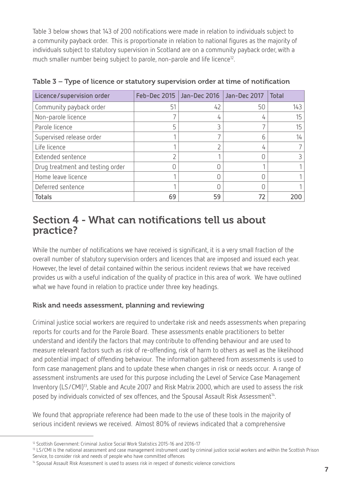Table 3 below shows that 143 of 200 notifications were made in relation to individuals subject to a community payback order. This is proportionate in relation to national figures as the majority of individuals subject to statutory supervision in Scotland are on a community payback order, with a much smaller number being subject to parole, non-parole and life licence<sup>12</sup>.

| Licence/supervision order        |    | Feb-Dec 2015   Jan-Dec 2016   Jan-Dec 2017 |    | Total |
|----------------------------------|----|--------------------------------------------|----|-------|
| Community payback order          | 51 | 42                                         | 50 | 143   |
| Non-parole licence               |    | 4                                          |    | 15    |
| Parole licence                   |    | 3                                          |    | 15    |
| Supervised release order         |    |                                            |    | 14    |
| Life licence                     |    |                                            | 4  |       |
| Extended sentence                |    |                                            |    |       |
| Drug treatment and testing order |    |                                            |    |       |
| Home leave licence               |    |                                            |    |       |
| Deferred sentence                |    |                                            |    |       |
| <b>Totals</b>                    | 69 | 59                                         |    | 200   |

Table 3 – Type of licence or statutory supervision order at time of notification

### Section 4 - What can notifications tell us about practice?

While the number of notifications we have received is significant, it is a very small fraction of the overall number of statutory supervision orders and licences that are imposed and issued each year. However, the level of detail contained within the serious incident reviews that we have received provides us with a useful indication of the quality of practice in this area of work. We have outlined what we have found in relation to practice under three key headings.

#### Risk and needs assessment, planning and reviewing

Criminal justice social workers are required to undertake risk and needs assessments when preparing reports for courts and for the Parole Board. These assessments enable practitioners to better understand and identify the factors that may contribute to offending behaviour and are used to measure relevant factors such as risk of re-offending, risk of harm to others as well as the likelihood and potential impact of offending behaviour. The information gathered from assessments is used to form case management plans and to update these when changes in risk or needs occur. A range of assessment instruments are used for this purpose including the Level of Service Case Management Inventory (LS/CMI)<sup>13</sup>, Stable and Acute 2007 and Risk Matrix 2000, which are used to assess the risk posed by individuals convicted of sex offences, and the Spousal Assault Risk Assessment<sup>14</sup>.

We found that appropriate reference had been made to the use of these tools in the majority of serious incident reviews we received. Almost 80% of reviews indicated that a comprehensive

<sup>&</sup>lt;sup>12</sup> Scottish Government: Criminal Justice Social Work Statistics 2015-16 and 2016-17

<sup>&</sup>lt;sup>13</sup> LS/CMI is the national assessment and case management instrument used by criminal justice social workers and within the Scottish Prison Service, to consider risk and needs of people who have committed offences

<sup>14</sup> Spousal Assault Risk Assessment is used to assess risk in respect of domestic violence convictions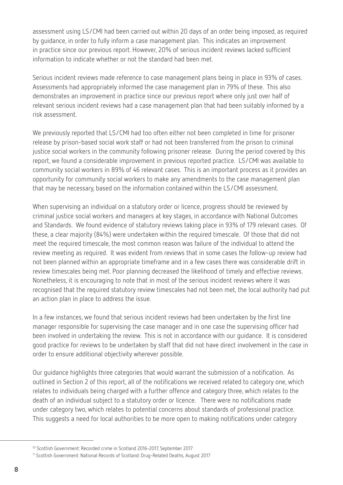assessment using LS/CMI had been carried out within 20 days of an order being imposed, as required by guidance, in order to fully inform a case management plan. This indicates an improvement in practice since our previous report. However, 20% of serious incident reviews lacked sufficient information to indicate whether or not the standard had been met.

Serious incident reviews made reference to case management plans being in place in 93% of cases. Assessments had appropriately informed the case management plan in 79% of these. This also demonstrates an improvement in practice since our previous report where only just over half of relevant serious incident reviews had a case management plan that had been suitably informed by a risk assessment.

We previously reported that LS/CMI had too often either not been completed in time for prisoner release by prison-based social work staff or had not been transferred from the prison to criminal justice social workers in the community following prisoner release. During the period covered by this report, we found a considerable improvement in previous reported practice. LS/CMI was available to community social workers in 89% of 46 relevant cases. This is an important process as it provides an opportunity for community social workers to make any amendments to the case management plan that may be necessary, based on the information contained within the LS/CMI assessment.

When supervising an individual on a statutory order or licence, progress should be reviewed by criminal justice social workers and managers at key stages, in accordance with National Outcomes and Standards. We found evidence of statutory reviews taking place in 93% of 179 relevant cases. Of these, a clear majority (84%) were undertaken within the required timescale. Of those that did not meet the required timescale, the most common reason was failure of the individual to attend the review meeting as required. It was evident from reviews that in some cases the follow-up review had not been planned within an appropriate timeframe and in a few cases there was considerable drift in review timescales being met. Poor planning decreased the likelihood of timely and effective reviews. Nonetheless, it is encouraging to note that in most of the serious incident reviews where it was recognised that the required statutory review timescales had not been met, the local authority had put an action plan in place to address the issue.

In a few instances, we found that serious incident reviews had been undertaken by the first line manager responsible for supervising the case manager and in one case the supervising officer had been involved in undertaking the review. This is not in accordance with our guidance. It is considered good practice for reviews to be undertaken by staff that did not have direct involvement in the case in order to ensure additional objectivity wherever possible.

Our guidance highlights three categories that would warrant the submission of a notification. As outlined in Section 2 of this report, all of the notifications we received related to category one, which relates to individuals being charged with a further offence and category three, which relates to the death of an individual subject to a statutory order or licence. There were no notifications made under category two, which relates to potential concerns about standards of professional practice. This suggests a need for local authorities to be more open to making notifications under category

<sup>10</sup> Scottish Government: Recorded crime in Scotland 2016-2017, September 2017

<sup>&</sup>lt;sup>11</sup> Scottish Government: National Records of Scotland: Drug-Related Deaths, August 2017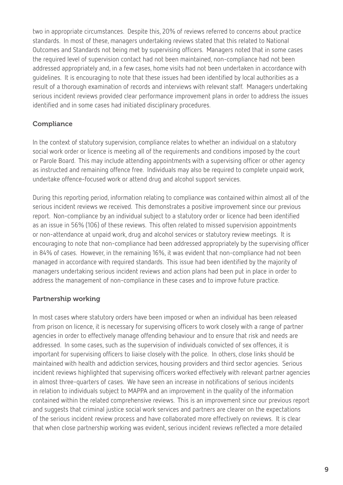two in appropriate circumstances. Despite this, 20% of reviews referred to concerns about practice standards. In most of these, managers undertaking reviews stated that this related to National Outcomes and Standards not being met by supervising officers. Managers noted that in some cases the required level of supervision contact had not been maintained, non-compliance had not been addressed appropriately and, in a few cases, home visits had not been undertaken in accordance with guidelines. It is encouraging to note that these issues had been identified by local authorities as a result of a thorough examination of records and interviews with relevant staff. Managers undertaking serious incident reviews provided clear performance improvement plans in order to address the issues identified and in some cases had initiated disciplinary procedures.

#### **Compliance**

In the context of statutory supervision, compliance relates to whether an individual on a statutory social work order or licence is meeting all of the requirements and conditions imposed by the court or Parole Board. This may include attending appointments with a supervising officer or other agency as instructed and remaining offence free. Individuals may also be required to complete unpaid work, undertake offence-focused work or attend drug and alcohol support services.

During this reporting period, information relating to compliance was contained within almost all of the serious incident reviews we received. This demonstrates a positive improvement since our previous report. Non-compliance by an individual subject to a statutory order or licence had been identified as an issue in 56% (106) of these reviews. This often related to missed supervision appointments or non-attendance at unpaid work, drug and alcohol services or statutory review meetings. It is encouraging to note that non-compliance had been addressed appropriately by the supervising officer in 84% of cases. However, in the remaining 16%, it was evident that non-compliance had not been managed in accordance with required standards. This issue had been identified by the majority of managers undertaking serious incident reviews and action plans had been put in place in order to address the management of non-compliance in these cases and to improve future practice.

#### Partnership working

In most cases where statutory orders have been imposed or when an individual has been released from prison on licence, it is necessary for supervising officers to work closely with a range of partner agencies in order to effectively manage offending behaviour and to ensure that risk and needs are addressed. In some cases, such as the supervision of individuals convicted of sex offences, it is important for supervising officers to liaise closely with the police. In others, close links should be maintained with health and addiction services, housing providers and third sector agencies. Serious incident reviews highlighted that supervising officers worked effectively with relevant partner agencies in almost three-quarters of cases. We have seen an increase in notifications of serious incidents in relation to individuals subject to MAPPA and an improvement in the quality of the information contained within the related comprehensive reviews. This is an improvement since our previous report and suggests that criminal justice social work services and partners are clearer on the expectations of the serious incident review process and have collaborated more effectively on reviews. It is clear that when close partnership working was evident, serious incident reviews reflected a more detailed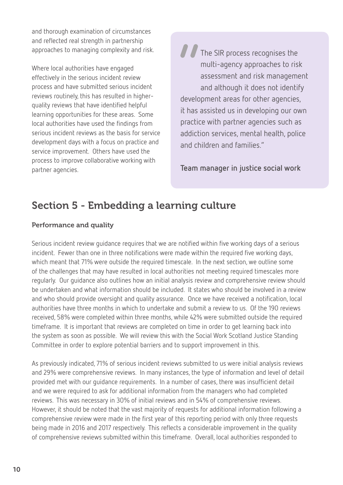and thorough examination of circumstances and reflected real strength in partnership approaches to managing complexity and risk.

Where local authorities have engaged effectively in the serious incident review process and have submitted serious incident reviews routinely, this has resulted in higherquality reviews that have identified helpful learning opportunities for these areas. Some local authorities have used the findings from serious incident reviews as the basis for service development days with a focus on practice and service improvement. Others have used the process to improve collaborative working with partner agencies.

*O* The SIR process recognises the multi-agency approaches to risk assessment and risk management and although it does not identify development areas for other agencies, it has assisted us in developing our own practice with partner agencies such as addiction services, mental health, police and children and families."

**Team manager in justice social work**

### Section 5 - Embedding a learning culture

#### Performance and quality

Serious incident review guidance requires that we are notified within five working days of a serious incident. Fewer than one in three notifications were made within the required five working days, which meant that 71% were outside the required timescale. In the next section, we outline some of the challenges that may have resulted in local authorities not meeting required timescales more regularly. Our guidance also outlines how an initial analysis review and comprehensive review should be undertaken and what information should be included. It states who should be involved in a review and who should provide oversight and quality assurance. Once we have received a notification, local authorities have three months in which to undertake and submit a review to us. Of the 190 reviews received, 58% were completed within three months, while 42% were submitted outside the required timeframe. It is important that reviews are completed on time in order to get learning back into the system as soon as possible. We will review this with the Social Work Scotland Justice Standing Committee in order to explore potential barriers and to support improvement in this.

As previously indicated, 71% of serious incident reviews submitted to us were initial analysis reviews and 29% were comprehensive reviews. In many instances, the type of information and level of detail provided met with our guidance requirements. In a number of cases, there was insufficient detail and we were required to ask for additional information from the managers who had completed reviews. This was necessary in 30% of initial reviews and in 54% of comprehensive reviews. However, it should be noted that the vast majority of requests for additional information following a comprehensive review were made in the first year of this reporting period with only three requests being made in 2016 and 2017 respectively. This reflects a considerable improvement in the quality of comprehensive reviews submitted within this timeframe. Overall, local authorities responded to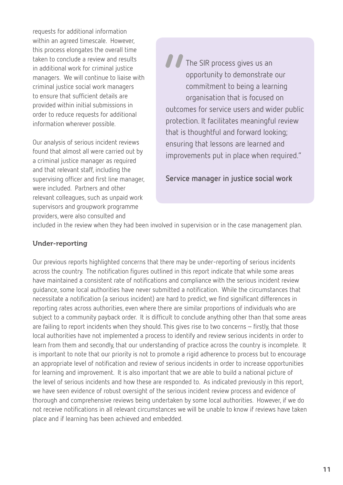requests for additional information within an agreed timescale. However, this process elongates the overall time taken to conclude a review and results in additional work for criminal justice managers. We will continue to liaise with criminal justice social work managers to ensure that sufficient details are provided within initial submissions in order to reduce requests for additional information wherever possible.

Our analysis of serious incident reviews found that almost all were carried out by a criminal justice manager as required and that relevant staff, including the supervising officer and first line manager, were included. Partners and other relevant colleagues, such as unpaid work supervisors and groupwork programme providers, were also consulted and

" The SIR process gives us an opportunity to demonstrate our commitment to being a learning organisation that is focused on outcomes for service users and wider public protection. It facilitates meaningful review that is thoughtful and forward looking; ensuring that lessons are learned and improvements put in place when required."

#### **Service manager in justice social work**

included in the review when they had been involved in supervision or in the case management plan.

#### Under-reporting

Our previous reports highlighted concerns that there may be under-reporting of serious incidents across the country. The notification figures outlined in this report indicate that while some areas have maintained a consistent rate of notifications and compliance with the serious incident review guidance, some local authorities have never submitted a notification. While the circumstances that necessitate a notification (a serious incident) are hard to predict, we find significant differences in reporting rates across authorities, even where there are similar proportions of individuals who are subject to a community payback order. It is difficult to conclude anything other than that some areas are failing to report incidents when they should. This gives rise to two concerns – firstly, that those local authorities have not implemented a process to identify and review serious incidents in order to learn from them and secondly, that our understanding of practice across the country is incomplete. It is important to note that our priority is not to promote a rigid adherence to process but to encourage an appropriate level of notification and review of serious incidents in order to increase opportunities for learning and improvement. It is also important that we are able to build a national picture of the level of serious incidents and how these are responded to. As indicated previously in this report, we have seen evidence of robust oversight of the serious incident review process and evidence of thorough and comprehensive reviews being undertaken by some local authorities. However, if we do not receive notifications in all relevant circumstances we will be unable to know if reviews have taken place and if learning has been achieved and embedded.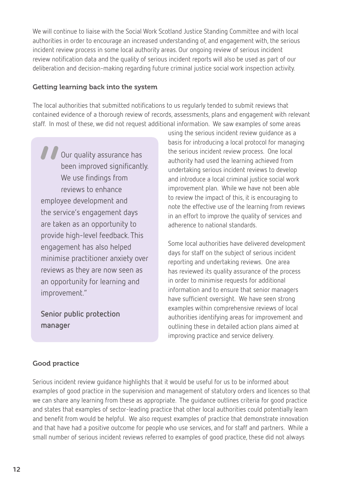We will continue to liaise with the Social Work Scotland Justice Standing Committee and with local authorities in order to encourage an increased understanding of, and engagement with, the serious incident review process in some local authority areas. Our ongoing review of serious incident review notification data and the quality of serious incident reports will also be used as part of our deliberation and decision-making regarding future criminal justice social work inspection activity.

#### Getting learning back into the system

The local authorities that submitted notifications to us regularly tended to submit reviews that contained evidence of a thorough review of records, assessments, plans and engagement with relevant staff. In most of these, we did not request additional information. We saw examples of some areas

*II*<br>emplo Our quality assurance has been improved significantly. We use findings from reviews to enhance employee development and the service's engagement days are taken as an opportunity to provide high-level feedback. This engagement has also helped minimise practitioner anxiety over reviews as they are now seen as an opportunity for learning and improvement."

**Senior public protection manager**

using the serious incident review guidance as a basis for introducing a local protocol for managing the serious incident review process. One local authority had used the learning achieved from undertaking serious incident reviews to develop and introduce a local criminal justice social work improvement plan. While we have not been able to review the impact of this, it is encouraging to note the effective use of the learning from reviews in an effort to improve the quality of services and adherence to national standards.

Some local authorities have delivered development days for staff on the subject of serious incident reporting and undertaking reviews. One area has reviewed its quality assurance of the process in order to minimise requests for additional information and to ensure that senior managers have sufficient oversight. We have seen strong examples within comprehensive reviews of local authorities identifying areas for improvement and outlining these in detailed action plans aimed at improving practice and service delivery.

#### Good practice

Serious incident review guidance highlights that it would be useful for us to be informed about examples of good practice in the supervision and management of statutory orders and licences so that we can share any learning from these as appropriate. The guidance outlines criteria for good practice and states that examples of sector-leading practice that other local authorities could potentially learn and benefit from would be helpful. We also request examples of practice that demonstrate innovation and that have had a positive outcome for people who use services, and for staff and partners. While a small number of serious incident reviews referred to examples of good practice, these did not always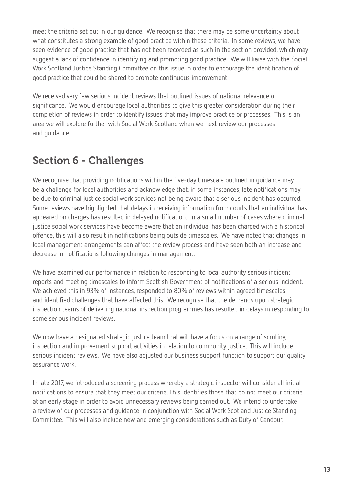meet the criteria set out in our guidance. We recognise that there may be some uncertainty about what constitutes a strong example of good practice within these criteria. In some reviews, we have seen evidence of good practice that has not been recorded as such in the section provided, which may suggest a lack of confidence in identifying and promoting good practice. We will liaise with the Social Work Scotland Justice Standing Committee on this issue in order to encourage the identification of good practice that could be shared to promote continuous improvement.

We received very few serious incident reviews that outlined issues of national relevance or significance. We would encourage local authorities to give this greater consideration during their completion of reviews in order to identify issues that may improve practice or processes. This is an area we will explore further with Social Work Scotland when we next review our processes and guidance.

### Section 6 - Challenges

We recognise that providing notifications within the five-day timescale outlined in guidance may be a challenge for local authorities and acknowledge that, in some instances, late notifications may be due to criminal justice social work services not being aware that a serious incident has occurred. Some reviews have highlighted that delays in receiving information from courts that an individual has appeared on charges has resulted in delayed notification. In a small number of cases where criminal justice social work services have become aware that an individual has been charged with a historical offence, this will also result in notifications being outside timescales. We have noted that changes in local management arrangements can affect the review process and have seen both an increase and decrease in notifications following changes in management.

We have examined our performance in relation to responding to local authority serious incident reports and meeting timescales to inform Scottish Government of notifications of a serious incident. We achieved this in 93% of instances, responded to 80% of reviews within agreed timescales and identified challenges that have affected this. We recognise that the demands upon strategic inspection teams of delivering national inspection programmes has resulted in delays in responding to some serious incident reviews.

We now have a designated strategic justice team that will have a focus on a range of scrutiny, inspection and improvement support activities in relation to community justice. This will include serious incident reviews. We have also adjusted our business support function to support our quality assurance work.

In late 2017, we introduced a screening process whereby a strategic inspector will consider all initial notifications to ensure that they meet our criteria. This identifies those that do not meet our criteria at an early stage in order to avoid unnecessary reviews being carried out. We intend to undertake a review of our processes and guidance in conjunction with Social Work Scotland Justice Standing Committee. This will also include new and emerging considerations such as Duty of Candour.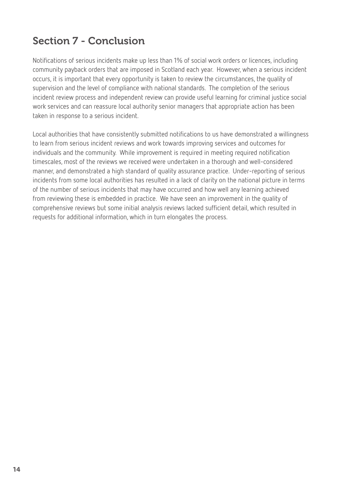## Section 7 - Conclusion

Notifications of serious incidents make up less than 1% of social work orders or licences, including community payback orders that are imposed in Scotland each year. However, when a serious incident occurs, it is important that every opportunity is taken to review the circumstances, the quality of supervision and the level of compliance with national standards. The completion of the serious incident review process and independent review can provide useful learning for criminal justice social work services and can reassure local authority senior managers that appropriate action has been taken in response to a serious incident.

Local authorities that have consistently submitted notifications to us have demonstrated a willingness to learn from serious incident reviews and work towards improving services and outcomes for individuals and the community. While improvement is required in meeting required notification timescales, most of the reviews we received were undertaken in a thorough and well-considered manner, and demonstrated a high standard of quality assurance practice. Under-reporting of serious incidents from some local authorities has resulted in a lack of clarity on the national picture in terms of the number of serious incidents that may have occurred and how well any learning achieved from reviewing these is embedded in practice. We have seen an improvement in the quality of comprehensive reviews but some initial analysis reviews lacked sufficient detail, which resulted in requests for additional information, which in turn elongates the process.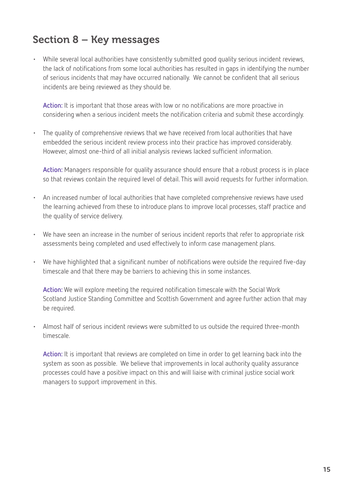### Section 8 – Key messages

• While several local authorities have consistently submitted good quality serious incident reviews, the lack of notifications from some local authorities has resulted in gaps in identifying the number of serious incidents that may have occurred nationally. We cannot be confident that all serious incidents are being reviewed as they should be.

**Action:** It is important that those areas with low or no notifications are more proactive in considering when a serious incident meets the notification criteria and submit these accordingly.

• The quality of comprehensive reviews that we have received from local authorities that have embedded the serious incident review process into their practice has improved considerably. However, almost one-third of all initial analysis reviews lacked sufficient information.

**Action:** Managers responsible for quality assurance should ensure that a robust process is in place so that reviews contain the required level of detail. This will avoid requests for further information.

- An increased number of local authorities that have completed comprehensive reviews have used the learning achieved from these to introduce plans to improve local processes, staff practice and the quality of service delivery.
- We have seen an increase in the number of serious incident reports that refer to appropriate risk assessments being completed and used effectively to inform case management plans.
- We have highlighted that a significant number of notifications were outside the required five-day timescale and that there may be barriers to achieving this in some instances.

**Action:** We will explore meeting the required notification timescale with the Social Work Scotland Justice Standing Committee and Scottish Government and agree further action that may be required.

• Almost half of serious incident reviews were submitted to us outside the required three-month timescale.

**Action:** It is important that reviews are completed on time in order to get learning back into the system as soon as possible. We believe that improvements in local authority quality assurance processes could have a positive impact on this and will liaise with criminal justice social work managers to support improvement in this.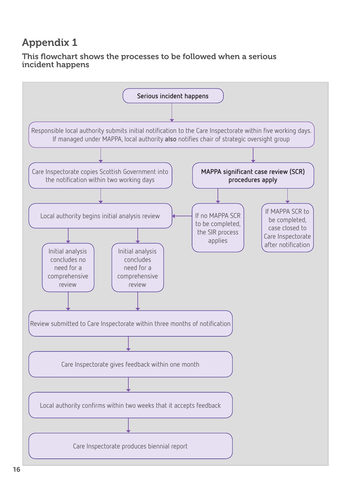## Appendix 1

#### This flowchart shows the processes to be followed when a serious incident happens

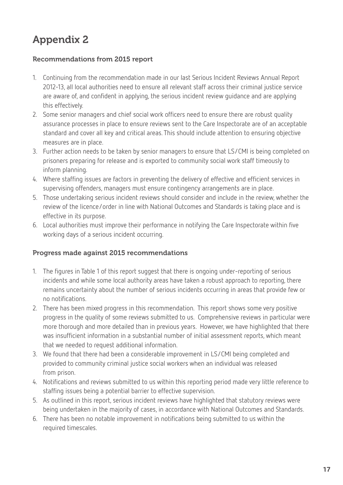# Appendix 2

#### Recommendations from 2015 report

- 1. Continuing from the recommendation made in our last Serious Incident Reviews Annual Report 2012-13, all local authorities need to ensure all relevant staff across their criminal justice service are aware of, and confident in applying, the serious incident review guidance and are applying this effectively.
- 2. Some senior managers and chief social work officers need to ensure there are robust quality assurance processes in place to ensure reviews sent to the Care Inspectorate are of an acceptable standard and cover all key and critical areas. This should include attention to ensuring objective measures are in place.
- 3. Further action needs to be taken by senior managers to ensure that LS/CMI is being completed on prisoners preparing for release and is exported to community social work staff timeously to inform planning.
- 4. Where staffing issues are factors in preventing the delivery of effective and efficient services in supervising offenders, managers must ensure contingency arrangements are in place.
- 5. Those undertaking serious incident reviews should consider and include in the review, whether the review of the licence/order in line with National Outcomes and Standards is taking place and is effective in its purpose.
- 6. Local authorities must improve their performance in notifying the Care Inspectorate within five working days of a serious incident occurring.

#### Progress made against 2015 recommendations

- 1. The figures in Table 1 of this report suggest that there is ongoing under-reporting of serious incidents and while some local authority areas have taken a robust approach to reporting, there remains uncertainty about the number of serious incidents occurring in areas that provide few or no notifications.
- 2. There has been mixed progress in this recommendation. This report shows some very positive progress in the quality of some reviews submitted to us. Comprehensive reviews in particular were more thorough and more detailed than in previous years. However, we have highlighted that there was insufficient information in a substantial number of initial assessment reports, which meant that we needed to request additional information.
- 3. We found that there had been a considerable improvement in LS/CMI being completed and provided to community criminal justice social workers when an individual was released from prison.
- 4. Notifications and reviews submitted to us within this reporting period made very little reference to staffing issues being a potential barrier to effective supervision.
- 5. As outlined in this report, serious incident reviews have highlighted that statutory reviews were being undertaken in the majority of cases, in accordance with National Outcomes and Standards.
- 6. There has been no notable improvement in notifications being submitted to us within the required timescales.